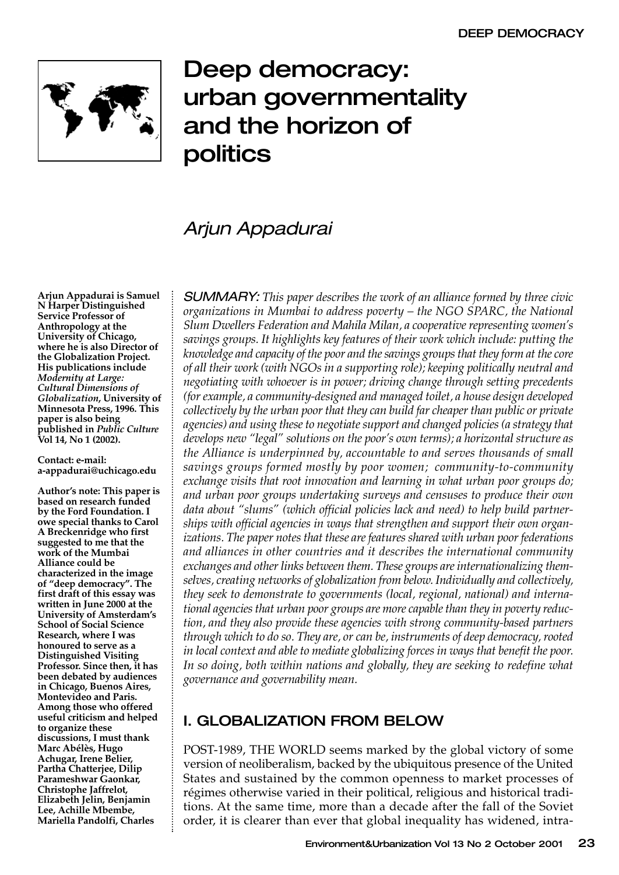

# Deep democracy: urban governmentality and the horizon of politics

# *Arjun Appadurai*

**Arjun Appadurai is Samuel N Harper Distinguished Service Professor of Anthropology at the University of Chicago, where he is also Director of the Globalization Project. His publications include** *Modernity at Large: Cultural Dimensions of Globalization***, University of Minnesota Press, 1996. This paper is also being published in** *Public Culture* **Vol 14, No 1 (2002).**

**Contact: e-mail: a-appadurai@uchicago.edu** 

**Author's note: This paper is based on research funded by the Ford Foundation. I owe special thanks to Carol A Breckenridge who first suggested to me that the work of the Mumbai Alliance could be characterized in the image of "deep democracy". The first draft of this essay was written in June 2000 at the University of Amsterdam's School of Social Science Research, where I was honoured to serve as a Distinguished Visiting Professor. Since then, it has been debated by audiences in Chicago, Buenos Aires, Montevideo and Paris. Among those who offered useful criticism and helped to organize these discussions, I must thank Marc Abélès, Hugo Achugar, Irene Belier, Partha Chatterjee, Dilip Parameshwar Gaonkar, Christophe Jaffrelot, Elizabeth Jelin, Benjamin Lee, Achille Mbembe, Mariella Pandolfi, Charles**

*SUMMARY: This paper describes the work of an alliance formed by three civic organizations in Mumbai to address poverty – the NGO SPARC, the National Slum Dwellers Federation and Mahila Milan, a cooperative representing women's savings groups. It highlights key features of their work which include: putting the knowledge and capacity of the poor and the savings groups that they form at the core of all their work (with NGOs in a supporting role); keeping politically neutral and negotiating with whoever is in power; driving change through setting precedents (for example, a community-designed and managed toilet, a house design developed collectively by the urban poor that they can build far cheaper than public or private agencies) and using these to negotiate support and changed policies (a strategy that develops new "legal" solutions on the poor's own terms); a horizontal structure as the Alliance is underpinned by, accountable to and serves thousands of small savings groups formed mostly by poor women; community-to-community exchange visits that root innovation and learning in what urban poor groups do; and urban poor groups undertaking surveys and censuses to produce their own data about "slums" (which official policies lack and need) to help build partnerships with official agencies in ways that strengthen and support their own organizations. The paper notes that these are features shared with urban poor federations and alliances in other countries and it describes the international community exchanges and other links between them. These groups are internationalizing themselves, creating networks of globalization from below. Individually and collectively, they seek to demonstrate to governments (local, regional, national) and international agencies that urban poor groups are more capable than they in poverty reduction, and they also provide these agencies with strong community-based partners through which to do so. They are, or can be, instruments of deep democracy, rooted in local context and able to mediate globalizing forces in ways that benefit the poor. In so doing, both within nations and globally, they are seeking to redefine what governance and governability mean.* 

# I. GLOBALIZATION FROM BELOW

POST-1989, THE WORLD seems marked by the global victory of some version of neoliberalism, backed by the ubiquitous presence of the United States and sustained by the common openness to market processes of régimes otherwise varied in their political, religious and historical traditions. At the same time, more than a decade after the fall of the Soviet order, it is clearer than ever that global inequality has widened, intra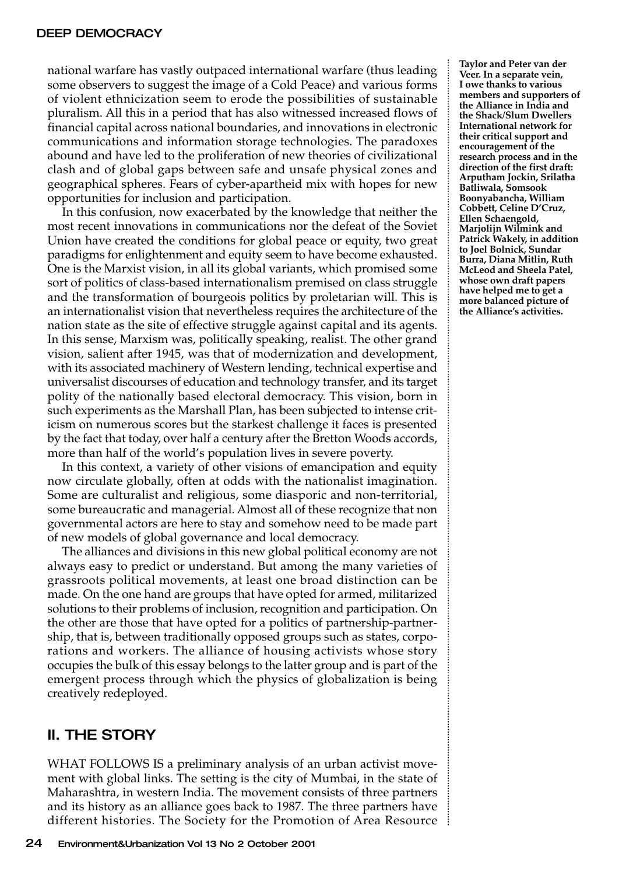national warfare has vastly outpaced international warfare (thus leading some observers to suggest the image of a Cold Peace) and various forms of violent ethnicization seem to erode the possibilities of sustainable pluralism. All this in a period that has also witnessed increased flows of financial capital across national boundaries, and innovations in electronic communications and information storage technologies. The paradoxes abound and have led to the proliferation of new theories of civilizational clash and of global gaps between safe and unsafe physical zones and geographical spheres. Fears of cyber-apartheid mix with hopes for new opportunities for inclusion and participation.

In this confusion, now exacerbated by the knowledge that neither the most recent innovations in communications nor the defeat of the Soviet Union have created the conditions for global peace or equity, two great paradigms for enlightenment and equity seem to have become exhausted. One is the Marxist vision, in all its global variants, which promised some sort of politics of class-based internationalism premised on class struggle and the transformation of bourgeois politics by proletarian will. This is an internationalist vision that nevertheless requires the architecture of the nation state as the site of effective struggle against capital and its agents. In this sense, Marxism was, politically speaking, realist. The other grand vision, salient after 1945, was that of modernization and development, with its associated machinery of Western lending, technical expertise and universalist discourses of education and technology transfer, and its target polity of the nationally based electoral democracy. This vision, born in such experiments as the Marshall Plan, has been subjected to intense criticism on numerous scores but the starkest challenge it faces is presented by the fact that today, over half a century after the Bretton Woods accords, more than half of the world's population lives in severe poverty.

In this context, a variety of other visions of emancipation and equity now circulate globally, often at odds with the nationalist imagination. Some are culturalist and religious, some diasporic and non-territorial, some bureaucratic and managerial. Almost all of these recognize that non governmental actors are here to stay and somehow need to be made part of new models of global governance and local democracy.

The alliances and divisions in this new global political economy are not always easy to predict or understand. But among the many varieties of grassroots political movements, at least one broad distinction can be made. On the one hand are groups that have opted for armed, militarized solutions to their problems of inclusion, recognition and participation. On the other are those that have opted for a politics of partnership-partnership, that is, between traditionally opposed groups such as states, corporations and workers. The alliance of housing activists whose story occupies the bulk of this essay belongs to the latter group and is part of the emergent process through which the physics of globalization is being creatively redeployed.

### II. THE STORY

WHAT FOLLOWS IS a preliminary analysis of an urban activist movement with global links. The setting is the city of Mumbai, in the state of Maharashtra, in western India. The movement consists of three partners and its history as an alliance goes back to 1987. The three partners have different histories. The Society for the Promotion of Area Resource

**Taylor and Peter van der Veer. In a separate vein, I owe thanks to various members and supporters of the Alliance in India and the Shack/Slum Dwellers International network for their critical support and encouragement of the research process and in the direction of the first draft: Arputham Jockin, Srilatha Batliwala, Somsook Boonyabancha, William Cobbett, Celine D'Cruz, Ellen Schaengold, Marjolijn Wilmink and Patrick Wakely, in addition to Joel Bolnick, Sundar Burra, Diana Mitlin, Ruth McLeod and Sheela Patel, whose own draft papers have helped me to get a more balanced picture of the Alliance's activities.**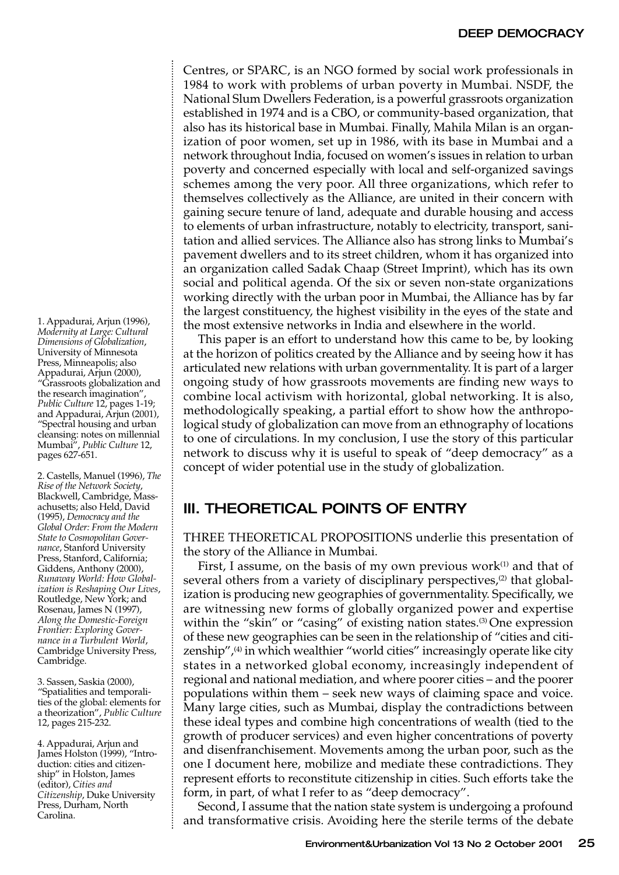#### DEEP DEMOCRACY

Centres, or SPARC, is an NGO formed by social work professionals in 1984 to work with problems of urban poverty in Mumbai. NSDF, the National Slum Dwellers Federation, is a powerful grassroots organization established in 1974 and is a CBO, or community-based organization, that also has its historical base in Mumbai. Finally, Mahila Milan is an organization of poor women, set up in 1986, with its base in Mumbai and a network throughout India, focused on women's issues in relation to urban poverty and concerned especially with local and self-organized savings schemes among the very poor. All three organizations, which refer to themselves collectively as the Alliance, are united in their concern with gaining secure tenure of land, adequate and durable housing and access to elements of urban infrastructure, notably to electricity, transport, sanitation and allied services. The Alliance also has strong links to Mumbai's pavement dwellers and to its street children, whom it has organized into an organization called Sadak Chaap (Street Imprint), which has its own social and political agenda. Of the six or seven non-state organizations working directly with the urban poor in Mumbai, the Alliance has by far the largest constituency, the highest visibility in the eyes of the state and the most extensive networks in India and elsewhere in the world.

This paper is an effort to understand how this came to be, by looking at the horizon of politics created by the Alliance and by seeing how it has articulated new relations with urban governmentality. It is part of a larger ongoing study of how grassroots movements are finding new ways to combine local activism with horizontal, global networking. It is also, methodologically speaking, a partial effort to show how the anthropological study of globalization can move from an ethnography of locations to one of circulations. In my conclusion, I use the story of this particular network to discuss why it is useful to speak of "deep democracy" as a concept of wider potential use in the study of globalization.

# III. THEORETICAL POINTS OF ENTRY

THREE THEORETICAL PROPOSITIONS underlie this presentation of the story of the Alliance in Mumbai.

First, I assume, on the basis of my own previous work $(1)$  and that of several others from a variety of disciplinary perspectives,<sup>(2)</sup> that globalization is producing new geographies of governmentality. Specifically, we are witnessing new forms of globally organized power and expertise within the "skin" or "casing" of existing nation states.<sup>(3)</sup> One expression of these new geographies can be seen in the relationship of "cities and citizenship", (4) in which wealthier "world cities" increasingly operate like city states in a networked global economy, increasingly independent of regional and national mediation, and where poorer cities – and the poorer populations within them – seek new ways of claiming space and voice. Many large cities, such as Mumbai, display the contradictions between these ideal types and combine high concentrations of wealth (tied to the growth of producer services) and even higher concentrations of poverty and disenfranchisement. Movements among the urban poor, such as the one I document here, mobilize and mediate these contradictions. They represent efforts to reconstitute citizenship in cities. Such efforts take the form, in part, of what I refer to as "deep democracy".

Second, I assume that the nation state system is undergoing a profound and transformative crisis. Avoiding here the sterile terms of the debate

1. Appadurai, Arjun (1996), *Modernity at Large: Cultural Dimensions of Globalization*, University of Minnesota Press, Minneapolis; also Appadurai, Arjun (2000), "Grassroots globalization and the research imagination", *Public Culture* 12, pages 1-19; and Appadurai, Arjun (2001), "Spectral housing and urban cleansing: notes on millennial Mumbai", *Public Culture* 12, pages 627-651.

2. Castells, Manuel (1996), *The Rise of the Network Society*, Blackwell, Cambridge, Massachusetts; also Held, David (1995), *Democracy and the Global Order: From the Modern State to Cosmopolitan Governance*, Stanford University Press, Stanford, California; Giddens, Anthony (2000), *Runaway World: How Globalization is Reshaping Our Lives*, Routledge, New York; and Rosenau, James N (1997), *Along the Domestic-Foreign Frontier: Exploring Governance in a Turbulent World*, Cambridge University Press, Cambridge.

3. Sassen, Saskia (2000), "Spatialities and temporalities of the global: elements for a theorization", *Public Culture* 12, pages 215-232.

4. Appadurai, Arjun and James Holston (1999), "Introduction: cities and citizenship" in Holston, James (editor), *Cities and Citizenship*, Duke University Press, Durham, North Carolina.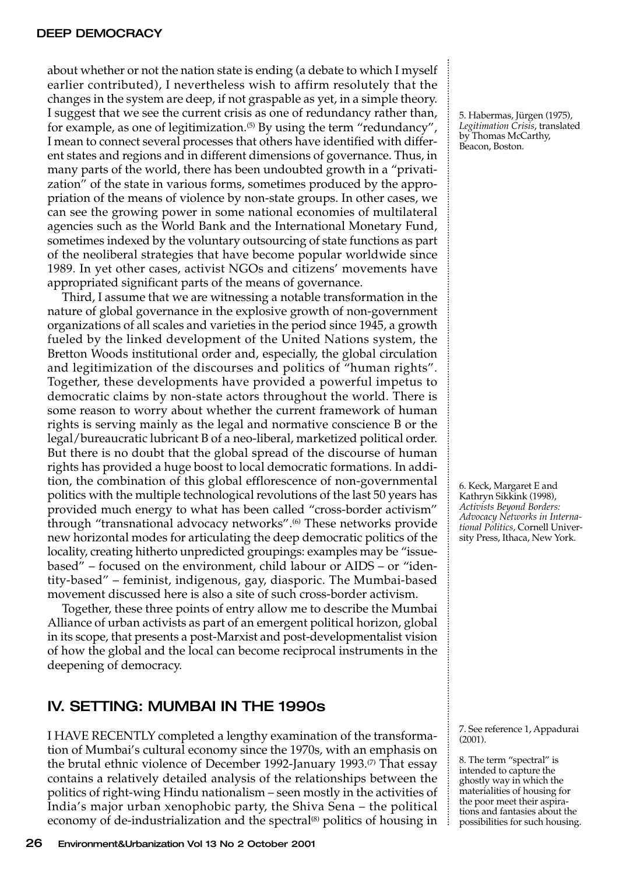about whether or not the nation state is ending (a debate to which I myself earlier contributed), I nevertheless wish to affirm resolutely that the changes in the system are deep, if not graspable as yet, in a simple theory. I suggest that we see the current crisis as one of redundancy rather than, for example, as one of legitimization.<sup>(5)</sup> By using the term "redundancy", I mean to connect several processes that others have identified with different states and regions and in different dimensions of governance. Thus, in many parts of the world, there has been undoubted growth in a "privatization" of the state in various forms, sometimes produced by the appropriation of the means of violence by non-state groups. In other cases, we can see the growing power in some national economies of multilateral agencies such as the World Bank and the International Monetary Fund, sometimes indexed by the voluntary outsourcing of state functions as part of the neoliberal strategies that have become popular worldwide since 1989. In yet other cases, activist NGOs and citizens' movements have appropriated significant parts of the means of governance.

Third, I assume that we are witnessing a notable transformation in the nature of global governance in the explosive growth of non-government organizations of all scales and varieties in the period since 1945, a growth fueled by the linked development of the United Nations system, the Bretton Woods institutional order and, especially, the global circulation and legitimization of the discourses and politics of "human rights". Together, these developments have provided a powerful impetus to democratic claims by non-state actors throughout the world. There is some reason to worry about whether the current framework of human rights is serving mainly as the legal and normative conscience B or the legal/bureaucratic lubricant B of a neo-liberal, marketized political order. But there is no doubt that the global spread of the discourse of human rights has provided a huge boost to local democratic formations. In addition, the combination of this global efflorescence of non-governmental politics with the multiple technological revolutions of the last 50 years has provided much energy to what has been called "cross-border activism" through "transnational advocacy networks". (6) These networks provide new horizontal modes for articulating the deep democratic politics of the locality, creating hitherto unpredicted groupings: examples may be "issuebased" – focused on the environment, child labour or AIDS – or "identity-based" – feminist, indigenous, gay, diasporic. The Mumbai-based movement discussed here is also a site of such cross-border activism.

Together, these three points of entry allow me to describe the Mumbai Alliance of urban activists as part of an emergent political horizon, global in its scope, that presents a post-Marxist and post-developmentalist vision of how the global and the local can become reciprocal instruments in the deepening of democracy.

# IV. SETTING: MUMBAI IN THE 1990s

I HAVE RECENTLY completed a lengthy examination of the transformation of Mumbai's cultural economy since the 1970s, with an emphasis on the brutal ethnic violence of December 1992-January 1993. $\sigma$  That essay contains a relatively detailed analysis of the relationships between the politics of right-wing Hindu nationalism – seen mostly in the activities of India's major urban xenophobic party, the Shiva Sena – the political economy of de-industrialization and the spectral<sup>(8)</sup> politics of housing in

6. Keck, Margaret E and Kathryn Sikkink (1998), *Activists Beyond Borders: Advocacy Networks in International Politics*, Cornell University Press, Ithaca, New York.

7. See reference 1, Appadurai (2001).

8. The term "spectral" is intended to capture the ghostly way in which the materialities of housing for the poor meet their aspirations and fantasies about the possibilities for such housing.

÷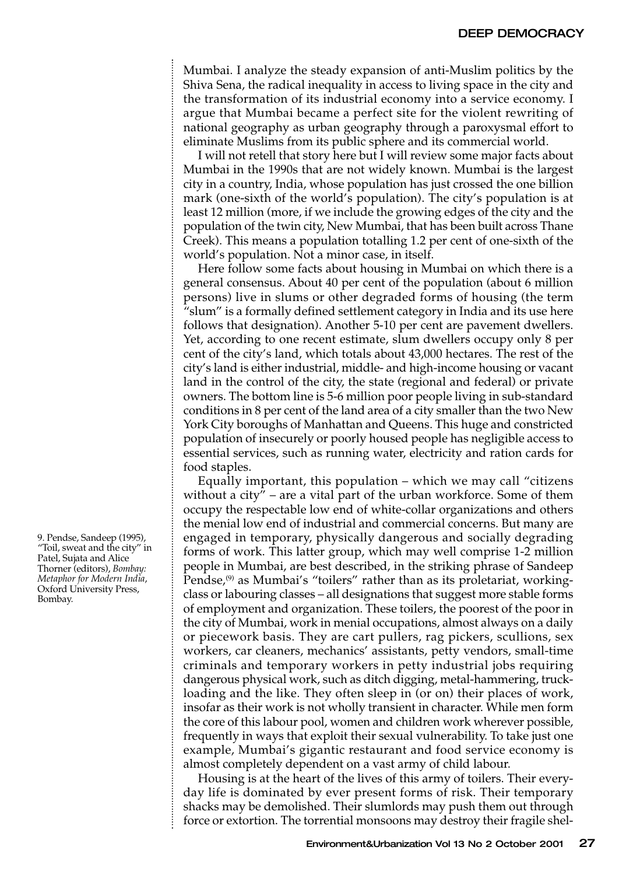Mumbai. I analyze the steady expansion of anti-Muslim politics by the Shiva Sena, the radical inequality in access to living space in the city and the transformation of its industrial economy into a service economy. I argue that Mumbai became a perfect site for the violent rewriting of national geography as urban geography through a paroxysmal effort to eliminate Muslims from its public sphere and its commercial world.

I will not retell that story here but I will review some major facts about Mumbai in the 1990s that are not widely known. Mumbai is the largest city in a country, India, whose population has just crossed the one billion mark (one-sixth of the world's population). The city's population is at least 12 million (more, if we include the growing edges of the city and the population of the twin city, New Mumbai, that has been built across Thane Creek). This means a population totalling 1.2 per cent of one-sixth of the world's population. Not a minor case, in itself.

Here follow some facts about housing in Mumbai on which there is a general consensus. About 40 per cent of the population (about 6 million persons) live in slums or other degraded forms of housing (the term "slum" is a formally defined settlement category in India and its use here follows that designation). Another 5-10 per cent are pavement dwellers. Yet, according to one recent estimate, slum dwellers occupy only 8 per cent of the city's land, which totals about 43,000 hectares. The rest of the city's land is either industrial, middle- and high-income housing or vacant land in the control of the city, the state (regional and federal) or private owners. The bottom line is 5-6 million poor people living in sub-standard conditions in 8 per cent of the land area of a city smaller than the two New York City boroughs of Manhattan and Queens. This huge and constricted population of insecurely or poorly housed people has negligible access to essential services, such as running water, electricity and ration cards for food staples.

Equally important, this population – which we may call "citizens without a city" – are a vital part of the urban workforce. Some of them occupy the respectable low end of white-collar organizations and others the menial low end of industrial and commercial concerns. But many are engaged in temporary, physically dangerous and socially degrading forms of work. This latter group, which may well comprise 1-2 million people in Mumbai, are best described, in the striking phrase of Sandeep Pendse,<sup>(9)</sup> as Mumbai's "toilers" rather than as its proletariat, workingclass or labouring classes – all designations that suggest more stable forms of employment and organization. These toilers, the poorest of the poor in the city of Mumbai, work in menial occupations, almost always on a daily or piecework basis. They are cart pullers, rag pickers, scullions, sex workers, car cleaners, mechanics' assistants, petty vendors, small-time criminals and temporary workers in petty industrial jobs requiring dangerous physical work, such as ditch digging, metal-hammering, truckloading and the like. They often sleep in (or on) their places of work, insofar as their work is not wholly transient in character. While men form the core of this labour pool, women and children work wherever possible, frequently in ways that exploit their sexual vulnerability. To take just one example, Mumbai's gigantic restaurant and food service economy is almost completely dependent on a vast army of child labour.

Housing is at the heart of the lives of this army of toilers. Their everyday life is dominated by ever present forms of risk. Their temporary shacks may be demolished. Their slumlords may push them out through force or extortion. The torrential monsoons may destroy their fragile shel-

9. Pendse, Sandeep (1995), "Toil, sweat and the city" in Patel, Sujata and Alice Thorner (editors), *Bombay: Metaphor for Modern India*, Oxford University Press, Bombay.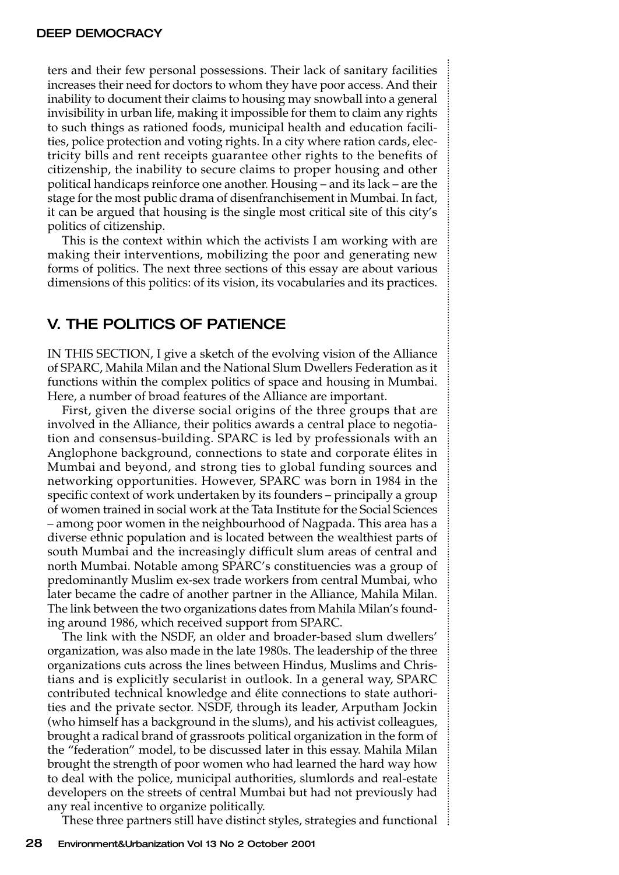ters and their few personal possessions. Their lack of sanitary facilities increases their need for doctors to whom they have poor access. And their inability to document their claims to housing may snowball into a general invisibility in urban life, making it impossible for them to claim any rights to such things as rationed foods, municipal health and education facilities, police protection and voting rights. In a city where ration cards, electricity bills and rent receipts guarantee other rights to the benefits of citizenship, the inability to secure claims to proper housing and other political handicaps reinforce one another. Housing – and its lack – are the stage for the most public drama of disenfranchisement in Mumbai. In fact, it can be argued that housing is the single most critical site of this city's politics of citizenship.

This is the context within which the activists I am working with are making their interventions, mobilizing the poor and generating new forms of politics. The next three sections of this essay are about various dimensions of this politics: of its vision, its vocabularies and its practices.

#### V. THE POLITICS OF PATIENCE

IN THIS SECTION, I give a sketch of the evolving vision of the Alliance of SPARC, Mahila Milan and the National Slum Dwellers Federation as it functions within the complex politics of space and housing in Mumbai. Here, a number of broad features of the Alliance are important.

First, given the diverse social origins of the three groups that are involved in the Alliance, their politics awards a central place to negotiation and consensus-building. SPARC is led by professionals with an Anglophone background, connections to state and corporate élites in Mumbai and beyond, and strong ties to global funding sources and networking opportunities. However, SPARC was born in 1984 in the specific context of work undertaken by its founders – principally a group of women trained in social work at the Tata Institute for the Social Sciences – among poor women in the neighbourhood of Nagpada. This area has a diverse ethnic population and is located between the wealthiest parts of south Mumbai and the increasingly difficult slum areas of central and north Mumbai. Notable among SPARC's constituencies was a group of predominantly Muslim ex-sex trade workers from central Mumbai, who later became the cadre of another partner in the Alliance, Mahila Milan. The link between the two organizations dates from Mahila Milan's founding around 1986, which received support from SPARC.

The link with the NSDF, an older and broader-based slum dwellers' organization, was also made in the late 1980s. The leadership of the three organizations cuts across the lines between Hindus, Muslims and Christians and is explicitly secularist in outlook. In a general way, SPARC contributed technical knowledge and élite connections to state authorities and the private sector. NSDF, through its leader, Arputham Jockin (who himself has a background in the slums), and his activist colleagues, brought a radical brand of grassroots political organization in the form of the "federation" model, to be discussed later in this essay. Mahila Milan brought the strength of poor women who had learned the hard way how to deal with the police, municipal authorities, slumlords and real-estate developers on the streets of central Mumbai but had not previously had any real incentive to organize politically.

These three partners still have distinct styles, strategies and functional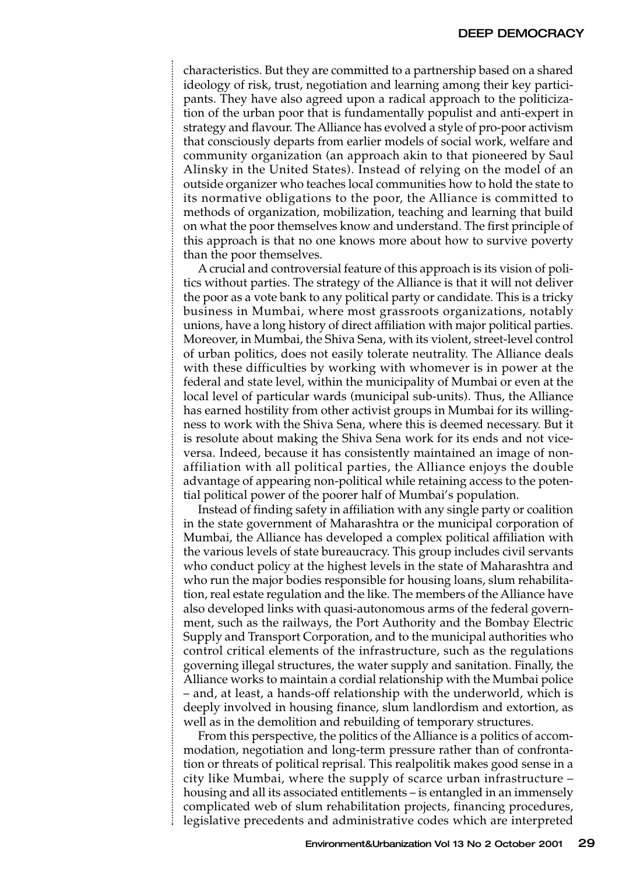characteristics. But they are committed to a partnership based on a shared ideology of risk, trust, negotiation and learning among their key participants. They have also agreed upon a radical approach to the politicization of the urban poor that is fundamentally populist and anti-expert in strategy and flavour. The Alliance has evolved a style of pro-poor activism that consciously departs from earlier models of social work, welfare and community organization (an approach akin to that pioneered by Saul Alinsky in the United States). Instead of relying on the model of an outside organizer who teaches local communities how to hold the state to its normative obligations to the poor, the Alliance is committed to methods of organization, mobilization, teaching and learning that build on what the poor themselves know and understand. The first principle of this approach is that no one knows more about how to survive poverty than the poor themselves.

A crucial and controversial feature of this approach is its vision of politics without parties. The strategy of the Alliance is that it will not deliver the poor as a vote bank to any political party or candidate. This is a tricky business in Mumbai, where most grassroots organizations, notably unions, have a long history of direct affiliation with major political parties. Moreover, in Mumbai, the Shiva Sena, with its violent, street-level control of urban politics, does not easily tolerate neutrality. The Alliance deals with these difficulties by working with whomever is in power at the federal and state level, within the municipality of Mumbai or even at the local level of particular wards (municipal sub-units). Thus, the Alliance has earned hostility from other activist groups in Mumbai for its willingness to work with the Shiva Sena, where this is deemed necessary. But it is resolute about making the Shiva Sena work for its ends and not viceversa. Indeed, because it has consistently maintained an image of nonaffiliation with all political parties, the Alliance enjoys the double advantage of appearing non-political while retaining access to the potential political power of the poorer half of Mumbai's population.

Instead of finding safety in affiliation with any single party or coalition in the state government of Maharashtra or the municipal corporation of Mumbai, the Alliance has developed a complex political affiliation with the various levels of state bureaucracy. This group includes civil servants who conduct policy at the highest levels in the state of Maharashtra and who run the major bodies responsible for housing loans, slum rehabilitation, real estate regulation and the like. The members of the Alliance have also developed links with quasi-autonomous arms of the federal government, such as the railways, the Port Authority and the Bombay Electric Supply and Transport Corporation, and to the municipal authorities who control critical elements of the infrastructure, such as the regulations governing illegal structures, the water supply and sanitation. Finally, the Alliance works to maintain a cordial relationship with the Mumbai police – and, at least, a hands-off relationship with the underworld, which is deeply involved in housing finance, slum landlordism and extortion, as well as in the demolition and rebuilding of temporary structures.

From this perspective, the politics of the Alliance is a politics of accommodation, negotiation and long-term pressure rather than of confrontation or threats of political reprisal. This realpolitik makes good sense in a city like Mumbai, where the supply of scarce urban infrastructure – housing and all its associated entitlements – is entangled in an immensely complicated web of slum rehabilitation projects, financing procedures, legislative precedents and administrative codes which are interpreted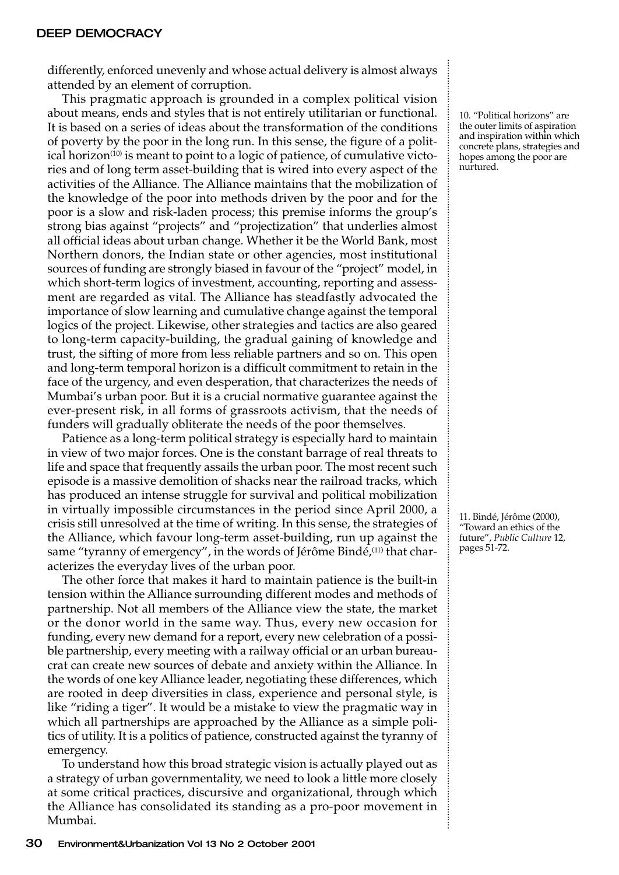differently, enforced unevenly and whose actual delivery is almost always attended by an element of corruption.

This pragmatic approach is grounded in a complex political vision about means, ends and styles that is not entirely utilitarian or functional. It is based on a series of ideas about the transformation of the conditions of poverty by the poor in the long run. In this sense, the figure of a political horizon $(10)$  is meant to point to a logic of patience, of cumulative victories and of long term asset-building that is wired into every aspect of the activities of the Alliance. The Alliance maintains that the mobilization of the knowledge of the poor into methods driven by the poor and for the poor is a slow and risk-laden process; this premise informs the group's strong bias against "projects" and "projectization" that underlies almost all official ideas about urban change. Whether it be the World Bank, most Northern donors, the Indian state or other agencies, most institutional sources of funding are strongly biased in favour of the "project" model, in which short-term logics of investment, accounting, reporting and assessment are regarded as vital. The Alliance has steadfastly advocated the importance of slow learning and cumulative change against the temporal logics of the project. Likewise, other strategies and tactics are also geared to long-term capacity-building, the gradual gaining of knowledge and trust, the sifting of more from less reliable partners and so on. This open and long-term temporal horizon is a difficult commitment to retain in the face of the urgency, and even desperation, that characterizes the needs of Mumbai's urban poor. But it is a crucial normative guarantee against the ever-present risk, in all forms of grassroots activism, that the needs of funders will gradually obliterate the needs of the poor themselves.

Patience as a long-term political strategy is especially hard to maintain in view of two major forces. One is the constant barrage of real threats to life and space that frequently assails the urban poor. The most recent such episode is a massive demolition of shacks near the railroad tracks, which has produced an intense struggle for survival and political mobilization in virtually impossible circumstances in the period since April 2000, a crisis still unresolved at the time of writing. In this sense, the strategies of the Alliance, which favour long-term asset-building, run up against the same "tyranny of emergency", in the words of Jérôme Bindé, (11) that characterizes the everyday lives of the urban poor.

The other force that makes it hard to maintain patience is the built-in tension within the Alliance surrounding different modes and methods of partnership. Not all members of the Alliance view the state, the market or the donor world in the same way. Thus, every new occasion for funding, every new demand for a report, every new celebration of a possible partnership, every meeting with a railway official or an urban bureaucrat can create new sources of debate and anxiety within the Alliance. In the words of one key Alliance leader, negotiating these differences, which are rooted in deep diversities in class, experience and personal style, is like "riding a tiger". It would be a mistake to view the pragmatic way in which all partnerships are approached by the Alliance as a simple politics of utility. It is a politics of patience, constructed against the tyranny of emergency.

To understand how this broad strategic vision is actually played out as a strategy of urban governmentality, we need to look a little more closely at some critical practices, discursive and organizational, through which the Alliance has consolidated its standing as a pro-poor movement in Mumbai.

10. "Political horizons" are the outer limits of aspiration and inspiration within which concrete plans, strategies and hopes among the poor are nurtured.

11. Bindé, Jérôme (2000), "Toward an ethics of the future", *Public Culture* 12, pages 51-72.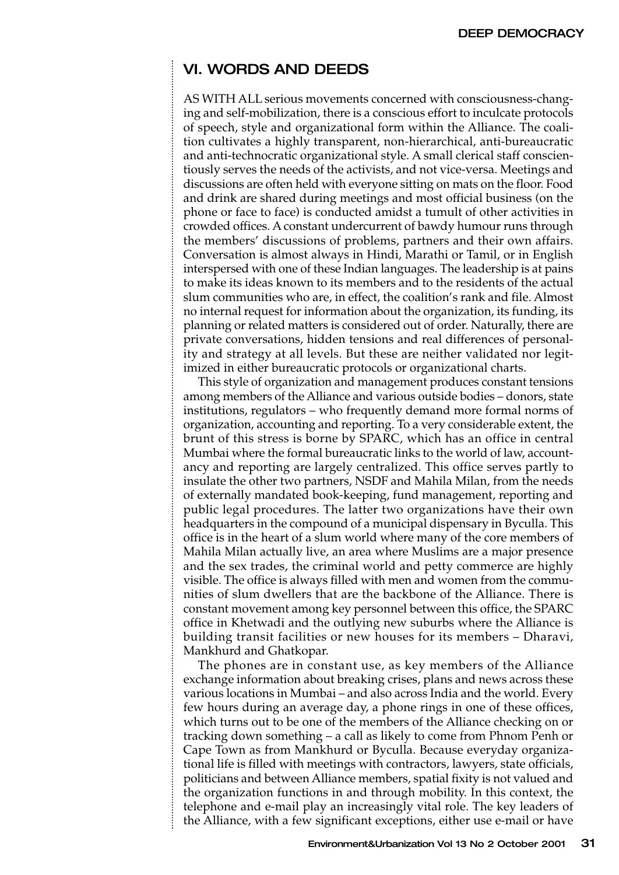## VI. WORDS AND DEEDS

AS WITH ALL serious movements concerned with consciousness-changing and self-mobilization, there is a conscious effort to inculcate protocols of speech, style and organizational form within the Alliance. The coalition cultivates a highly transparent, non-hierarchical, anti-bureaucratic and anti-technocratic organizational style. A small clerical staff conscientiously serves the needs of the activists, and not vice-versa. Meetings and discussions are often held with everyone sitting on mats on the floor. Food and drink are shared during meetings and most official business (on the phone or face to face) is conducted amidst a tumult of other activities in crowded offices. A constant undercurrent of bawdy humour runs through the members' discussions of problems, partners and their own affairs. Conversation is almost always in Hindi, Marathi or Tamil, or in English interspersed with one of these Indian languages. The leadership is at pains to make its ideas known to its members and to the residents of the actual slum communities who are, in effect, the coalition's rank and file. Almost no internal request for information about the organization, its funding, its planning or related matters is considered out of order. Naturally, there are private conversations, hidden tensions and real differences of personality and strategy at all levels. But these are neither validated nor legitimized in either bureaucratic protocols or organizational charts.

This style of organization and management produces constant tensions among members of the Alliance and various outside bodies – donors, state institutions, regulators – who frequently demand more formal norms of organization, accounting and reporting. To a very considerable extent, the brunt of this stress is borne by SPARC, which has an office in central Mumbai where the formal bureaucratic links to the world of law, accountancy and reporting are largely centralized. This office serves partly to insulate the other two partners, NSDF and Mahila Milan, from the needs of externally mandated book-keeping, fund management, reporting and public legal procedures. The latter two organizations have their own headquarters in the compound of a municipal dispensary in Byculla. This office is in the heart of a slum world where many of the core members of Mahila Milan actually live, an area where Muslims are a major presence and the sex trades, the criminal world and petty commerce are highly visible. The office is always filled with men and women from the communities of slum dwellers that are the backbone of the Alliance. There is constant movement among key personnel between this office, the SPARC office in Khetwadi and the outlying new suburbs where the Alliance is building transit facilities or new houses for its members – Dharavi, Mankhurd and Ghatkopar.

The phones are in constant use, as key members of the Alliance exchange information about breaking crises, plans and news across these various locations in Mumbai – and also across India and the world. Every few hours during an average day, a phone rings in one of these offices, which turns out to be one of the members of the Alliance checking on or tracking down something – a call as likely to come from Phnom Penh or Cape Town as from Mankhurd or Byculla. Because everyday organizational life is filled with meetings with contractors, lawyers, state officials, politicians and between Alliance members, spatial fixity is not valued and the organization functions in and through mobility. In this context, the telephone and e-mail play an increasingly vital role. The key leaders of the Alliance, with a few significant exceptions, either use e-mail or have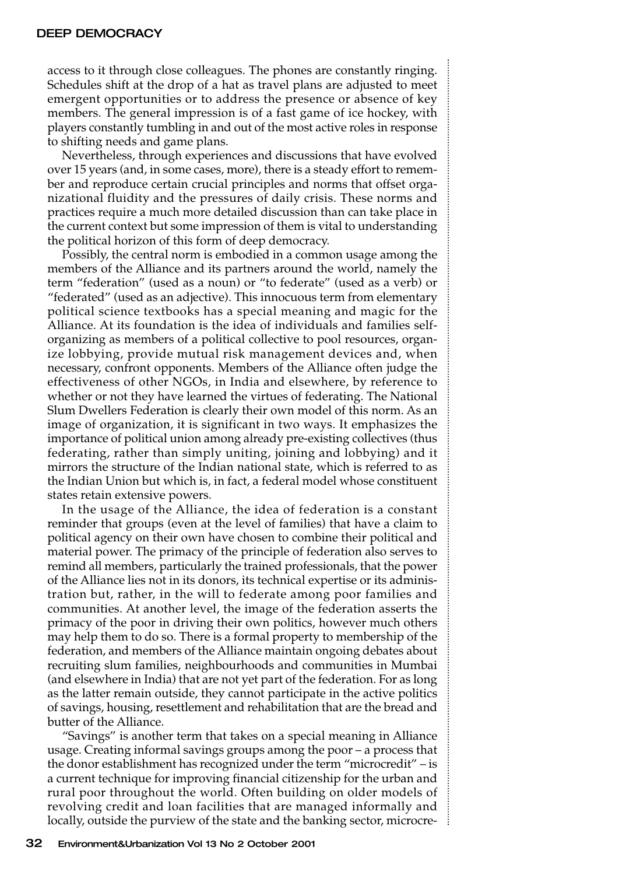access to it through close colleagues. The phones are constantly ringing. Schedules shift at the drop of a hat as travel plans are adjusted to meet emergent opportunities or to address the presence or absence of key members. The general impression is of a fast game of ice hockey, with players constantly tumbling in and out of the most active roles in response to shifting needs and game plans.

Nevertheless, through experiences and discussions that have evolved over 15 years (and, in some cases, more), there is a steady effort to remember and reproduce certain crucial principles and norms that offset organizational fluidity and the pressures of daily crisis. These norms and practices require a much more detailed discussion than can take place in the current context but some impression of them is vital to understanding the political horizon of this form of deep democracy.

Possibly, the central norm is embodied in a common usage among the members of the Alliance and its partners around the world, namely the term "federation" (used as a noun) or "to federate" (used as a verb) or "federated" (used as an adjective). This innocuous term from elementary political science textbooks has a special meaning and magic for the Alliance. At its foundation is the idea of individuals and families selforganizing as members of a political collective to pool resources, organize lobbying, provide mutual risk management devices and, when necessary, confront opponents. Members of the Alliance often judge the effectiveness of other NGOs, in India and elsewhere, by reference to whether or not they have learned the virtues of federating. The National Slum Dwellers Federation is clearly their own model of this norm. As an image of organization, it is significant in two ways. It emphasizes the importance of political union among already pre-existing collectives (thus federating, rather than simply uniting, joining and lobbying) and it mirrors the structure of the Indian national state, which is referred to as the Indian Union but which is, in fact, a federal model whose constituent states retain extensive powers.

In the usage of the Alliance, the idea of federation is a constant reminder that groups (even at the level of families) that have a claim to political agency on their own have chosen to combine their political and material power. The primacy of the principle of federation also serves to remind all members, particularly the trained professionals, that the power of the Alliance lies not in its donors, its technical expertise or its administration but, rather, in the will to federate among poor families and communities. At another level, the image of the federation asserts the primacy of the poor in driving their own politics, however much others may help them to do so. There is a formal property to membership of the federation, and members of the Alliance maintain ongoing debates about recruiting slum families, neighbourhoods and communities in Mumbai (and elsewhere in India) that are not yet part of the federation. For as long as the latter remain outside, they cannot participate in the active politics of savings, housing, resettlement and rehabilitation that are the bread and butter of the Alliance.

"Savings" is another term that takes on a special meaning in Alliance usage. Creating informal savings groups among the poor – a process that the donor establishment has recognized under the term "microcredit" – is a current technique for improving financial citizenship for the urban and rural poor throughout the world. Often building on older models of revolving credit and loan facilities that are managed informally and locally, outside the purview of the state and the banking sector, microcre-  $\vdots$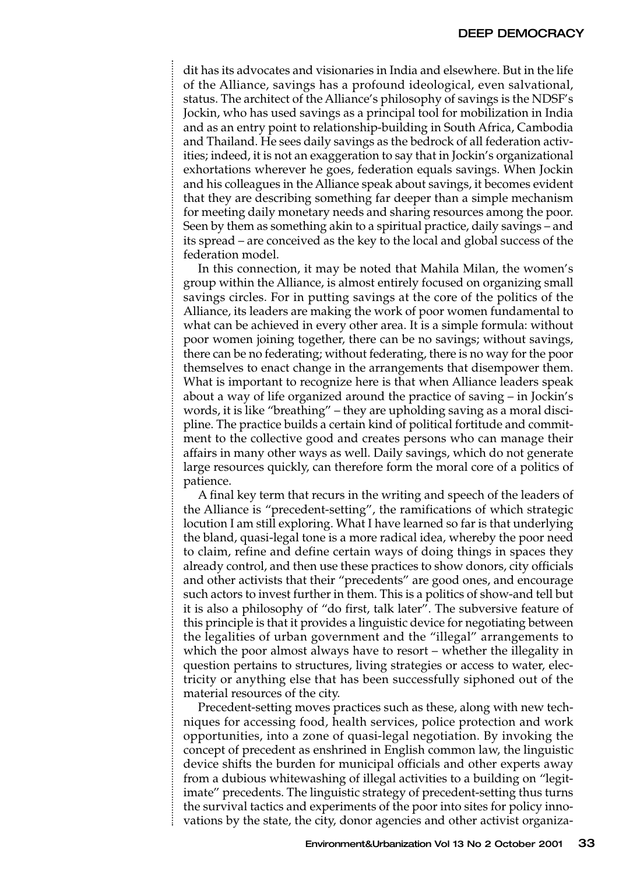dit has its advocates and visionaries in India and elsewhere. But in the life of the Alliance, savings has a profound ideological, even salvational, status. The architect of the Alliance's philosophy of savings is the NDSF's Jockin, who has used savings as a principal tool for mobilization in India and as an entry point to relationship-building in South Africa, Cambodia and Thailand. He sees daily savings as the bedrock of all federation activities; indeed, it is not an exaggeration to say that in Jockin's organizational exhortations wherever he goes, federation equals savings. When Jockin and his colleagues in the Alliance speak about savings, it becomes evident that they are describing something far deeper than a simple mechanism for meeting daily monetary needs and sharing resources among the poor. Seen by them as something akin to a spiritual practice, daily savings – and its spread – are conceived as the key to the local and global success of the federation model.

In this connection, it may be noted that Mahila Milan, the women's group within the Alliance, is almost entirely focused on organizing small savings circles. For in putting savings at the core of the politics of the Alliance, its leaders are making the work of poor women fundamental to what can be achieved in every other area. It is a simple formula: without poor women joining together, there can be no savings; without savings, there can be no federating; without federating, there is no way for the poor themselves to enact change in the arrangements that disempower them. What is important to recognize here is that when Alliance leaders speak about a way of life organized around the practice of saving – in Jockin's words, it is like "breathing" – they are upholding saving as a moral discipline. The practice builds a certain kind of political fortitude and commitment to the collective good and creates persons who can manage their affairs in many other ways as well. Daily savings, which do not generate large resources quickly, can therefore form the moral core of a politics of patience.

A final key term that recurs in the writing and speech of the leaders of the Alliance is "precedent-setting", the ramifications of which strategic locution I am still exploring. What I have learned so far is that underlying the bland, quasi-legal tone is a more radical idea, whereby the poor need to claim, refine and define certain ways of doing things in spaces they already control, and then use these practices to show donors, city officials and other activists that their "precedents" are good ones, and encourage such actors to invest further in them. This is a politics of show-and tell but it is also a philosophy of "do first, talk later". The subversive feature of this principle is that it provides a linguistic device for negotiating between the legalities of urban government and the "illegal" arrangements to which the poor almost always have to resort – whether the illegality in question pertains to structures, living strategies or access to water, electricity or anything else that has been successfully siphoned out of the material resources of the city.

Precedent-setting moves practices such as these, along with new techniques for accessing food, health services, police protection and work opportunities, into a zone of quasi-legal negotiation. By invoking the concept of precedent as enshrined in English common law, the linguistic device shifts the burden for municipal officials and other experts away from a dubious whitewashing of illegal activities to a building on "legitimate" precedents. The linguistic strategy of precedent-setting thus turns the survival tactics and experiments of the poor into sites for policy innovations by the state, the city, donor agencies and other activist organiza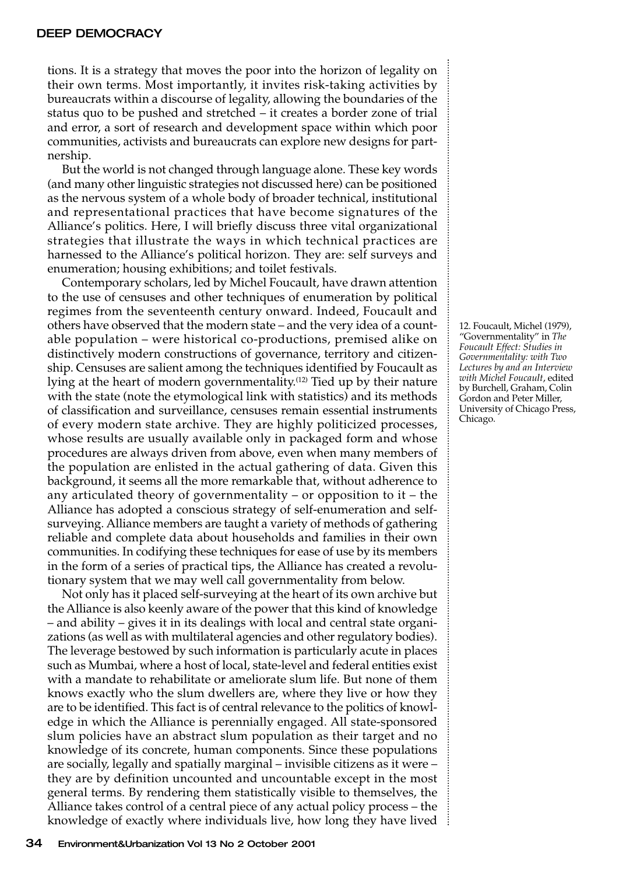tions. It is a strategy that moves the poor into the horizon of legality on their own terms. Most importantly, it invites risk-taking activities by bureaucrats within a discourse of legality, allowing the boundaries of the status quo to be pushed and stretched – it creates a border zone of trial and error, a sort of research and development space within which poor communities, activists and bureaucrats can explore new designs for partnership.

But the world is not changed through language alone. These key words (and many other linguistic strategies not discussed here) can be positioned as the nervous system of a whole body of broader technical, institutional and representational practices that have become signatures of the Alliance's politics. Here, I will briefly discuss three vital organizational strategies that illustrate the ways in which technical practices are harnessed to the Alliance's political horizon. They are: self surveys and enumeration; housing exhibitions; and toilet festivals.

Contemporary scholars, led by Michel Foucault, have drawn attention to the use of censuses and other techniques of enumeration by political regimes from the seventeenth century onward. Indeed, Foucault and others have observed that the modern state – and the very idea of a countable population – were historical co-productions, premised alike on distinctively modern constructions of governance, territory and citizenship. Censuses are salient among the techniques identified by Foucault as lying at the heart of modern governmentality.<sup>(12)</sup> Tied up by their nature with the state (note the etymological link with statistics) and its methods of classification and surveillance, censuses remain essential instruments of every modern state archive. They are highly politicized processes, whose results are usually available only in packaged form and whose procedures are always driven from above, even when many members of the population are enlisted in the actual gathering of data. Given this background, it seems all the more remarkable that, without adherence to any articulated theory of governmentality – or opposition to it – the Alliance has adopted a conscious strategy of self-enumeration and selfsurveying. Alliance members are taught a variety of methods of gathering reliable and complete data about households and families in their own communities. In codifying these techniques for ease of use by its members in the form of a series of practical tips, the Alliance has created a revolutionary system that we may well call governmentality from below.

Not only has it placed self-surveying at the heart of its own archive but the Alliance is also keenly aware of the power that this kind of knowledge – and ability – gives it in its dealings with local and central state organizations (as well as with multilateral agencies and other regulatory bodies). The leverage bestowed by such information is particularly acute in places such as Mumbai, where a host of local, state-level and federal entities exist with a mandate to rehabilitate or ameliorate slum life. But none of them knows exactly who the slum dwellers are, where they live or how they are to be identified. This fact is of central relevance to the politics of knowledge in which the Alliance is perennially engaged. All state-sponsored slum policies have an abstract slum population as their target and no knowledge of its concrete, human components. Since these populations are socially, legally and spatially marginal – invisible citizens as it were – they are by definition uncounted and uncountable except in the most general terms. By rendering them statistically visible to themselves, the Alliance takes control of a central piece of any actual policy process – the knowledge of exactly where individuals live, how long they have lived 12. Foucault, Michel (1979), "Governmentality" in *The Foucault Effect: Studies in Governmentality: with Two Lectures by and an Interview with Michel Foucault*, edited by Burchell, Graham, Colin Gordon and Peter Miller, University of Chicago Press, Chicago.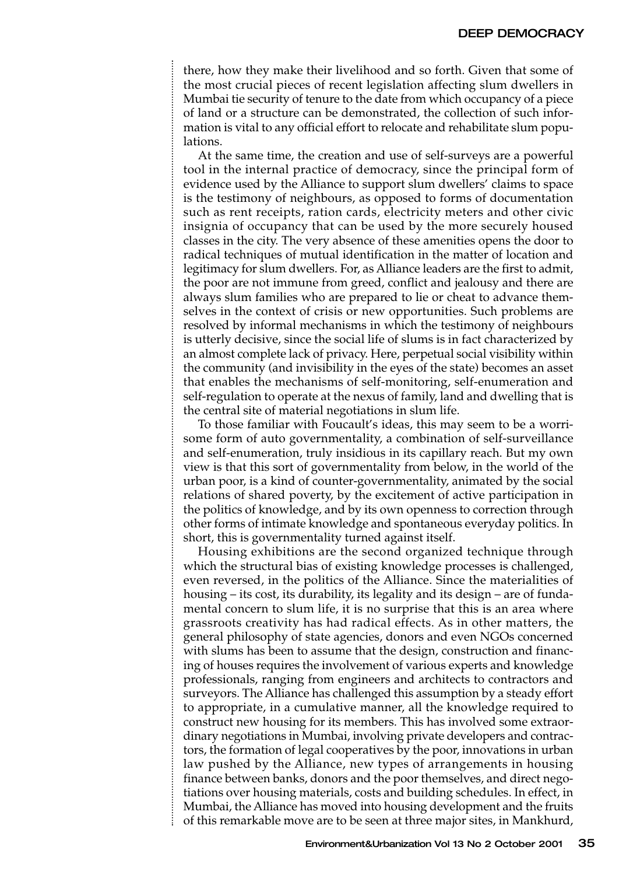there, how they make their livelihood and so forth. Given that some of the most crucial pieces of recent legislation affecting slum dwellers in Mumbai tie security of tenure to the date from which occupancy of a piece of land or a structure can be demonstrated, the collection of such information is vital to any official effort to relocate and rehabilitate slum populations.

At the same time, the creation and use of self-surveys are a powerful tool in the internal practice of democracy, since the principal form of evidence used by the Alliance to support slum dwellers' claims to space is the testimony of neighbours, as opposed to forms of documentation such as rent receipts, ration cards, electricity meters and other civic insignia of occupancy that can be used by the more securely housed classes in the city. The very absence of these amenities opens the door to radical techniques of mutual identification in the matter of location and legitimacy for slum dwellers. For, as Alliance leaders are the first to admit, the poor are not immune from greed, conflict and jealousy and there are always slum families who are prepared to lie or cheat to advance themselves in the context of crisis or new opportunities. Such problems are resolved by informal mechanisms in which the testimony of neighbours is utterly decisive, since the social life of slums is in fact characterized by an almost complete lack of privacy. Here, perpetual social visibility within the community (and invisibility in the eyes of the state) becomes an asset that enables the mechanisms of self-monitoring, self-enumeration and self-regulation to operate at the nexus of family, land and dwelling that is the central site of material negotiations in slum life.

To those familiar with Foucault's ideas, this may seem to be a worrisome form of auto governmentality, a combination of self-surveillance and self-enumeration, truly insidious in its capillary reach. But my own view is that this sort of governmentality from below, in the world of the urban poor, is a kind of counter-governmentality, animated by the social relations of shared poverty, by the excitement of active participation in the politics of knowledge, and by its own openness to correction through other forms of intimate knowledge and spontaneous everyday politics. In short, this is governmentality turned against itself.

Housing exhibitions are the second organized technique through which the structural bias of existing knowledge processes is challenged, even reversed, in the politics of the Alliance. Since the materialities of housing – its cost, its durability, its legality and its design – are of fundamental concern to slum life, it is no surprise that this is an area where grassroots creativity has had radical effects. As in other matters, the general philosophy of state agencies, donors and even NGOs concerned with slums has been to assume that the design, construction and financing of houses requires the involvement of various experts and knowledge professionals, ranging from engineers and architects to contractors and surveyors. The Alliance has challenged this assumption by a steady effort to appropriate, in a cumulative manner, all the knowledge required to construct new housing for its members. This has involved some extraordinary negotiations in Mumbai, involving private developers and contractors, the formation of legal cooperatives by the poor, innovations in urban law pushed by the Alliance, new types of arrangements in housing finance between banks, donors and the poor themselves, and direct negotiations over housing materials, costs and building schedules. In effect, in Mumbai, the Alliance has moved into housing development and the fruits of this remarkable move are to be seen at three major sites, in Mankhurd,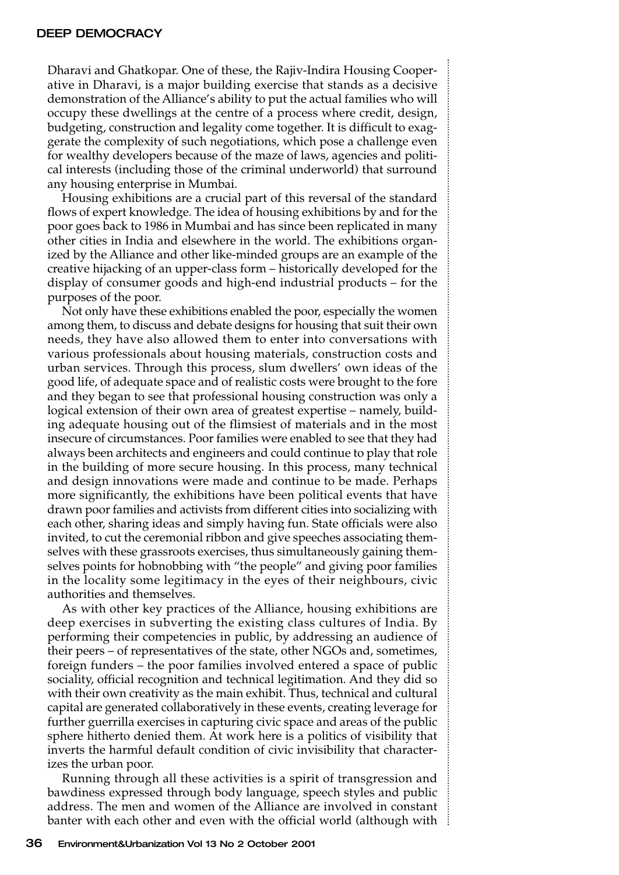Dharavi and Ghatkopar. One of these, the Rajiv-Indira Housing Cooperative in Dharavi, is a major building exercise that stands as a decisive demonstration of the Alliance's ability to put the actual families who will occupy these dwellings at the centre of a process where credit, design, budgeting, construction and legality come together. It is difficult to exaggerate the complexity of such negotiations, which pose a challenge even for wealthy developers because of the maze of laws, agencies and political interests (including those of the criminal underworld) that surround any housing enterprise in Mumbai.

Housing exhibitions are a crucial part of this reversal of the standard flows of expert knowledge. The idea of housing exhibitions by and for the poor goes back to 1986 in Mumbai and has since been replicated in many other cities in India and elsewhere in the world. The exhibitions organized by the Alliance and other like-minded groups are an example of the creative hijacking of an upper-class form – historically developed for the display of consumer goods and high-end industrial products – for the purposes of the poor.

Not only have these exhibitions enabled the poor, especially the women among them, to discuss and debate designs for housing that suit their own needs, they have also allowed them to enter into conversations with various professionals about housing materials, construction costs and urban services. Through this process, slum dwellers' own ideas of the good life, of adequate space and of realistic costs were brought to the fore and they began to see that professional housing construction was only a logical extension of their own area of greatest expertise – namely, building adequate housing out of the flimsiest of materials and in the most insecure of circumstances. Poor families were enabled to see that they had always been architects and engineers and could continue to play that role in the building of more secure housing. In this process, many technical and design innovations were made and continue to be made. Perhaps more significantly, the exhibitions have been political events that have drawn poor families and activists from different cities into socializing with each other, sharing ideas and simply having fun. State officials were also invited, to cut the ceremonial ribbon and give speeches associating themselves with these grassroots exercises, thus simultaneously gaining themselves points for hobnobbing with "the people" and giving poor families in the locality some legitimacy in the eyes of their neighbours, civic authorities and themselves.

As with other key practices of the Alliance, housing exhibitions are deep exercises in subverting the existing class cultures of India. By performing their competencies in public, by addressing an audience of their peers – of representatives of the state, other NGOs and, sometimes, foreign funders – the poor families involved entered a space of public sociality, official recognition and technical legitimation. And they did so with their own creativity as the main exhibit. Thus, technical and cultural capital are generated collaboratively in these events, creating leverage for further guerrilla exercises in capturing civic space and areas of the public sphere hitherto denied them. At work here is a politics of visibility that inverts the harmful default condition of civic invisibility that characterizes the urban poor.

Running through all these activities is a spirit of transgression and bawdiness expressed through body language, speech styles and public address. The men and women of the Alliance are involved in constant banter with each other and even with the official world (although with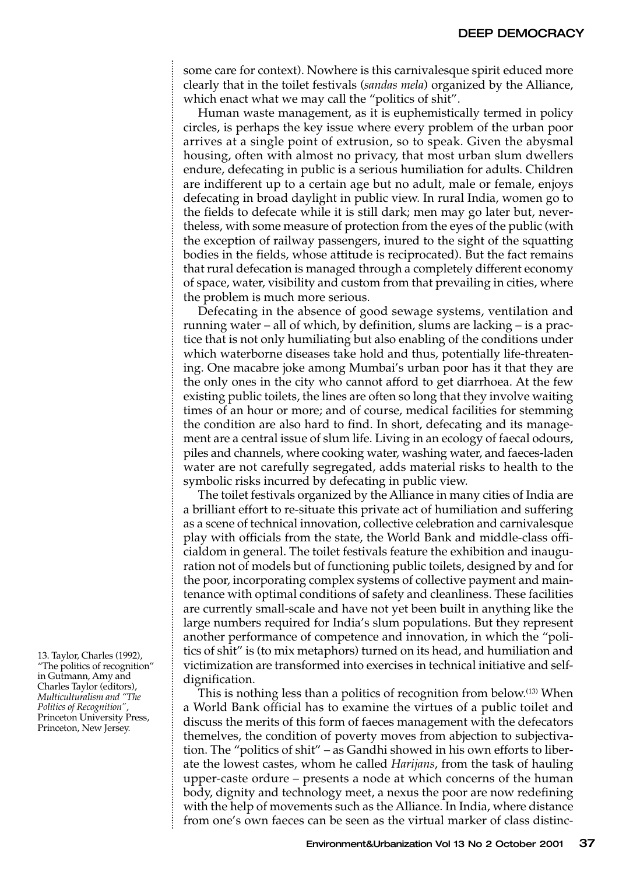some care for context). Nowhere is this carnivalesque spirit educed more clearly that in the toilet festivals (*sandas mela*) organized by the Alliance, which enact what we may call the "politics of shit".

Human waste management, as it is euphemistically termed in policy circles, is perhaps the key issue where every problem of the urban poor arrives at a single point of extrusion, so to speak. Given the abysmal housing, often with almost no privacy, that most urban slum dwellers endure, defecating in public is a serious humiliation for adults. Children are indifferent up to a certain age but no adult, male or female, enjoys defecating in broad daylight in public view. In rural India, women go to the fields to defecate while it is still dark; men may go later but, nevertheless, with some measure of protection from the eyes of the public (with the exception of railway passengers, inured to the sight of the squatting bodies in the fields, whose attitude is reciprocated). But the fact remains that rural defecation is managed through a completely different economy of space, water, visibility and custom from that prevailing in cities, where the problem is much more serious.

Defecating in the absence of good sewage systems, ventilation and running water – all of which, by definition, slums are lacking – is a practice that is not only humiliating but also enabling of the conditions under which waterborne diseases take hold and thus, potentially life-threatening. One macabre joke among Mumbai's urban poor has it that they are the only ones in the city who cannot afford to get diarrhoea. At the few existing public toilets, the lines are often so long that they involve waiting times of an hour or more; and of course, medical facilities for stemming the condition are also hard to find. In short, defecating and its management are a central issue of slum life. Living in an ecology of faecal odours, piles and channels, where cooking water, washing water, and faeces-laden water are not carefully segregated, adds material risks to health to the symbolic risks incurred by defecating in public view.

The toilet festivals organized by the Alliance in many cities of India are a brilliant effort to re-situate this private act of humiliation and suffering as a scene of technical innovation, collective celebration and carnivalesque play with officials from the state, the World Bank and middle-class officialdom in general. The toilet festivals feature the exhibition and inauguration not of models but of functioning public toilets, designed by and for the poor, incorporating complex systems of collective payment and maintenance with optimal conditions of safety and cleanliness. These facilities are currently small-scale and have not yet been built in anything like the large numbers required for India's slum populations. But they represent another performance of competence and innovation, in which the "politics of shit" is (to mix metaphors) turned on its head, and humiliation and victimization are transformed into exercises in technical initiative and selfdignification.

This is nothing less than a politics of recognition from below.(13) When a World Bank official has to examine the virtues of a public toilet and discuss the merits of this form of faeces management with the defecators themelves, the condition of poverty moves from abjection to subjectivation. The "politics of shit" – as Gandhi showed in his own efforts to liberate the lowest castes, whom he called *Harijans*, from the task of hauling upper-caste ordure – presents a node at which concerns of the human body, dignity and technology meet, a nexus the poor are now redefining with the help of movements such as the Alliance. In India, where distance from one's own faeces can be seen as the virtual marker of class distinc-

13. Taylor, Charles (1992), "The politics of recognition" in Gutmann, Amy and Charles Taylor (editors), *Multiculturalism and "The Politics of Recognition"*, Princeton University Press, Princeton, New Jersey.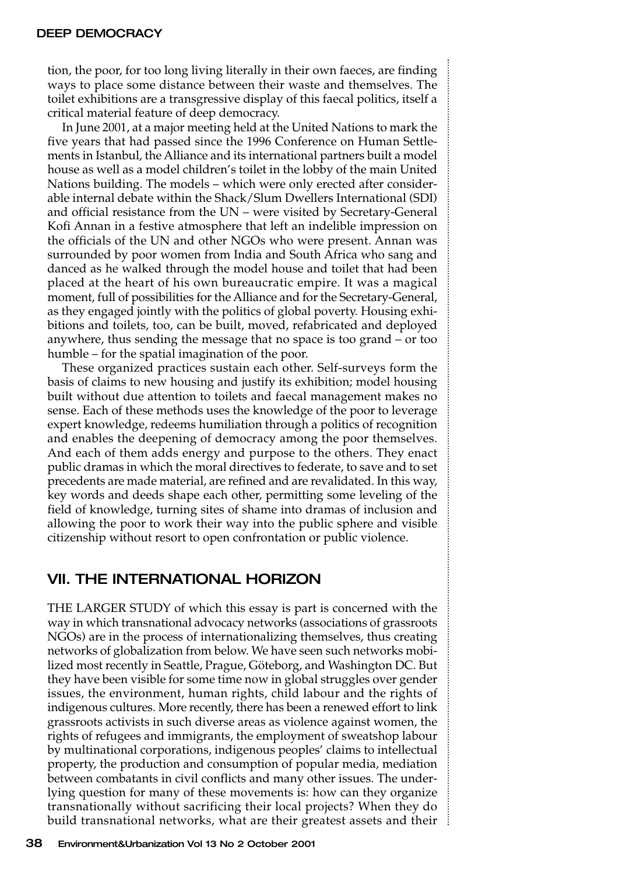tion, the poor, for too long living literally in their own faeces, are finding ways to place some distance between their waste and themselves. The toilet exhibitions are a transgressive display of this faecal politics, itself a critical material feature of deep democracy.

In June 2001, at a major meeting held at the United Nations to mark the five years that had passed since the 1996 Conference on Human Settlements in Istanbul, the Alliance and its international partners built a model house as well as a model children's toilet in the lobby of the main United Nations building. The models – which were only erected after considerable internal debate within the Shack/Slum Dwellers International (SDI) and official resistance from the UN – were visited by Secretary-General Kofi Annan in a festive atmosphere that left an indelible impression on the officials of the UN and other NGOs who were present. Annan was surrounded by poor women from India and South Africa who sang and danced as he walked through the model house and toilet that had been placed at the heart of his own bureaucratic empire. It was a magical moment, full of possibilities for the Alliance and for the Secretary-General, as they engaged jointly with the politics of global poverty. Housing exhibitions and toilets, too, can be built, moved, refabricated and deployed anywhere, thus sending the message that no space is too grand – or too humble – for the spatial imagination of the poor.

These organized practices sustain each other. Self-surveys form the basis of claims to new housing and justify its exhibition; model housing built without due attention to toilets and faecal management makes no sense. Each of these methods uses the knowledge of the poor to leverage expert knowledge, redeems humiliation through a politics of recognition and enables the deepening of democracy among the poor themselves. And each of them adds energy and purpose to the others. They enact public dramas in which the moral directives to federate, to save and to set precedents are made material, are refined and are revalidated. In this way, key words and deeds shape each other, permitting some leveling of the field of knowledge, turning sites of shame into dramas of inclusion and allowing the poor to work their way into the public sphere and visible citizenship without resort to open confrontation or public violence.

#### VII. THE INTERNATIONAL HORIZON

THE LARGER STUDY of which this essay is part is concerned with the way in which transnational advocacy networks (associations of grassroots NGOs) are in the process of internationalizing themselves, thus creating networks of globalization from below. We have seen such networks mobilized most recently in Seattle, Prague, Göteborg, and Washington DC. But they have been visible for some time now in global struggles over gender issues, the environment, human rights, child labour and the rights of indigenous cultures. More recently, there has been a renewed effort to link grassroots activists in such diverse areas as violence against women, the rights of refugees and immigrants, the employment of sweatshop labour by multinational corporations, indigenous peoples' claims to intellectual property, the production and consumption of popular media, mediation between combatants in civil conflicts and many other issues. The underlying question for many of these movements is: how can they organize transnationally without sacrificing their local projects? When they do build transnational networks, what are their greatest assets and their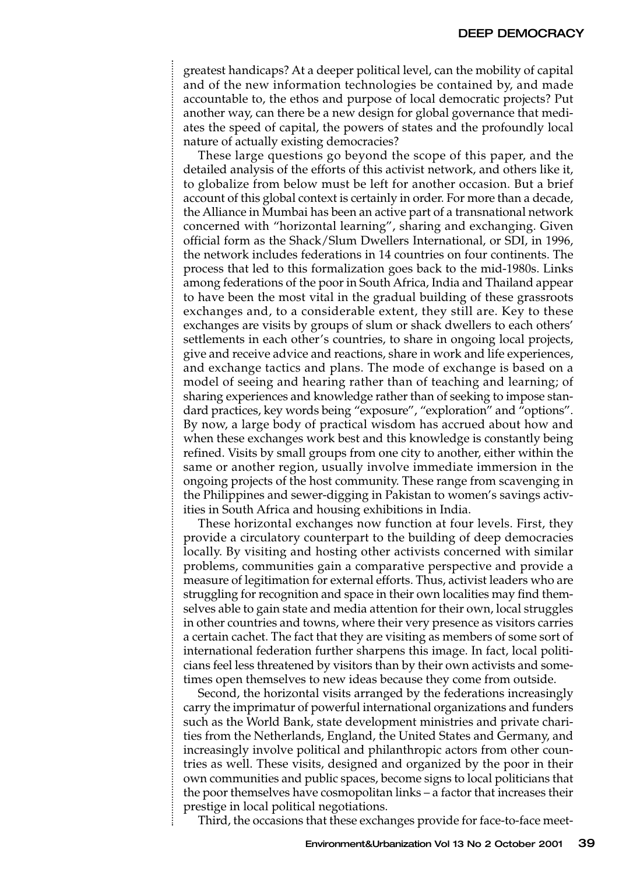greatest handicaps? At a deeper political level, can the mobility of capital and of the new information technologies be contained by, and made accountable to, the ethos and purpose of local democratic projects? Put another way, can there be a new design for global governance that mediates the speed of capital, the powers of states and the profoundly local nature of actually existing democracies?

These large questions go beyond the scope of this paper, and the detailed analysis of the efforts of this activist network, and others like it, to globalize from below must be left for another occasion. But a brief account of this global context is certainly in order. For more than a decade, the Alliance in Mumbai has been an active part of a transnational network concerned with "horizontal learning", sharing and exchanging. Given official form as the Shack/Slum Dwellers International, or SDI, in 1996, the network includes federations in 14 countries on four continents. The process that led to this formalization goes back to the mid-1980s. Links among federations of the poor in South Africa, India and Thailand appear to have been the most vital in the gradual building of these grassroots exchanges and, to a considerable extent, they still are. Key to these exchanges are visits by groups of slum or shack dwellers to each others' settlements in each other's countries, to share in ongoing local projects, give and receive advice and reactions, share in work and life experiences, and exchange tactics and plans. The mode of exchange is based on a model of seeing and hearing rather than of teaching and learning; of sharing experiences and knowledge rather than of seeking to impose standard practices, key words being "exposure", "exploration" and "options". By now, a large body of practical wisdom has accrued about how and when these exchanges work best and this knowledge is constantly being refined. Visits by small groups from one city to another, either within the same or another region, usually involve immediate immersion in the ongoing projects of the host community. These range from scavenging in the Philippines and sewer-digging in Pakistan to women's savings activities in South Africa and housing exhibitions in India.

These horizontal exchanges now function at four levels. First, they provide a circulatory counterpart to the building of deep democracies locally. By visiting and hosting other activists concerned with similar problems, communities gain a comparative perspective and provide a measure of legitimation for external efforts. Thus, activist leaders who are struggling for recognition and space in their own localities may find themselves able to gain state and media attention for their own, local struggles in other countries and towns, where their very presence as visitors carries a certain cachet. The fact that they are visiting as members of some sort of international federation further sharpens this image. In fact, local politicians feel less threatened by visitors than by their own activists and sometimes open themselves to new ideas because they come from outside.

Second, the horizontal visits arranged by the federations increasingly carry the imprimatur of powerful international organizations and funders such as the World Bank, state development ministries and private charities from the Netherlands, England, the United States and Germany, and increasingly involve political and philanthropic actors from other countries as well. These visits, designed and organized by the poor in their own communities and public spaces, become signs to local politicians that the poor themselves have cosmopolitan links – a factor that increases their prestige in local political negotiations.

Third, the occasions that these exchanges provide for face-to-face meet-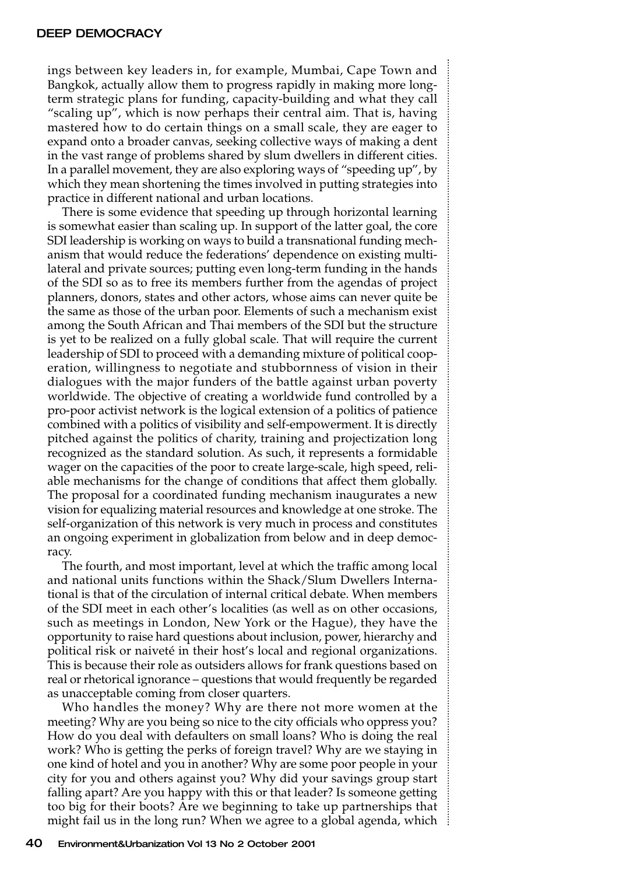ings between key leaders in, for example, Mumbai, Cape Town and Bangkok, actually allow them to progress rapidly in making more longterm strategic plans for funding, capacity-building and what they call "scaling up", which is now perhaps their central aim. That is, having mastered how to do certain things on a small scale, they are eager to expand onto a broader canvas, seeking collective ways of making a dent in the vast range of problems shared by slum dwellers in different cities. In a parallel movement, they are also exploring ways of "speeding up", by which they mean shortening the times involved in putting strategies into practice in different national and urban locations.

There is some evidence that speeding up through horizontal learning is somewhat easier than scaling up. In support of the latter goal, the core SDI leadership is working on ways to build a transnational funding mechanism that would reduce the federations' dependence on existing multilateral and private sources; putting even long-term funding in the hands of the SDI so as to free its members further from the agendas of project planners, donors, states and other actors, whose aims can never quite be the same as those of the urban poor. Elements of such a mechanism exist among the South African and Thai members of the SDI but the structure is yet to be realized on a fully global scale. That will require the current leadership of SDI to proceed with a demanding mixture of political cooperation, willingness to negotiate and stubbornness of vision in their dialogues with the major funders of the battle against urban poverty worldwide. The objective of creating a worldwide fund controlled by a pro-poor activist network is the logical extension of a politics of patience combined with a politics of visibility and self-empowerment. It is directly pitched against the politics of charity, training and projectization long recognized as the standard solution. As such, it represents a formidable wager on the capacities of the poor to create large-scale, high speed, reliable mechanisms for the change of conditions that affect them globally. The proposal for a coordinated funding mechanism inaugurates a new vision for equalizing material resources and knowledge at one stroke. The self-organization of this network is very much in process and constitutes an ongoing experiment in globalization from below and in deep democracy.

The fourth, and most important, level at which the traffic among local and national units functions within the Shack/Slum Dwellers International is that of the circulation of internal critical debate. When members of the SDI meet in each other's localities (as well as on other occasions, such as meetings in London, New York or the Hague), they have the opportunity to raise hard questions about inclusion, power, hierarchy and political risk or naiveté in their host's local and regional organizations. This is because their role as outsiders allows for frank questions based on real or rhetorical ignorance – questions that would frequently be regarded as unacceptable coming from closer quarters.

Who handles the money? Why are there not more women at the meeting? Why are you being so nice to the city officials who oppress you? How do you deal with defaulters on small loans? Who is doing the real work? Who is getting the perks of foreign travel? Why are we staying in one kind of hotel and you in another? Why are some poor people in your city for you and others against you? Why did your savings group start falling apart? Are you happy with this or that leader? Is someone getting too big for their boots? Are we beginning to take up partnerships that might fail us in the long run? When we agree to a global agenda, which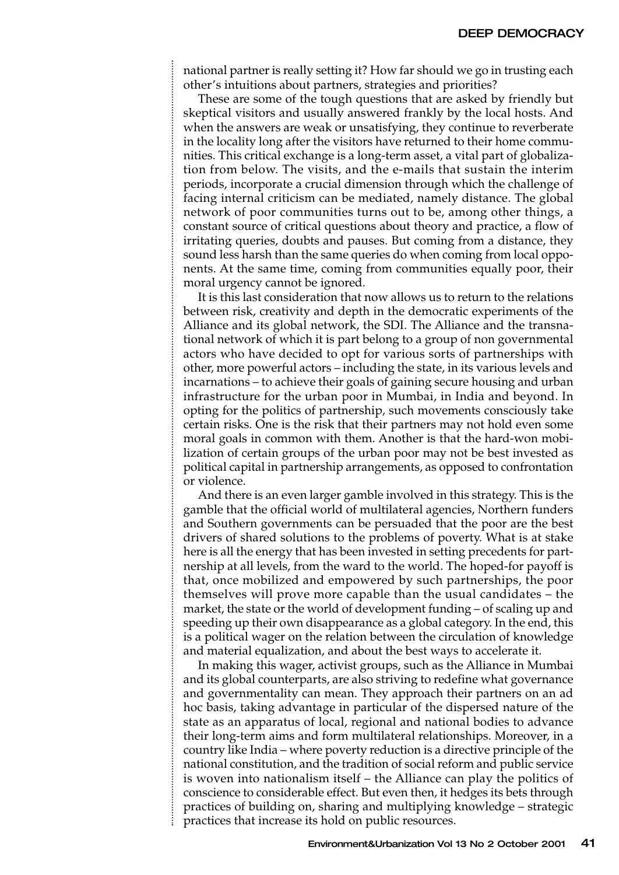national partner is really setting it? How far should we go in trusting each other's intuitions about partners, strategies and priorities?

These are some of the tough questions that are asked by friendly but skeptical visitors and usually answered frankly by the local hosts. And when the answers are weak or unsatisfying, they continue to reverberate in the locality long after the visitors have returned to their home communities. This critical exchange is a long-term asset, a vital part of globalization from below. The visits, and the e-mails that sustain the interim periods, incorporate a crucial dimension through which the challenge of facing internal criticism can be mediated, namely distance. The global network of poor communities turns out to be, among other things, a constant source of critical questions about theory and practice, a flow of irritating queries, doubts and pauses. But coming from a distance, they sound less harsh than the same queries do when coming from local opponents. At the same time, coming from communities equally poor, their moral urgency cannot be ignored.

It is this last consideration that now allows us to return to the relations between risk, creativity and depth in the democratic experiments of the Alliance and its global network, the SDI. The Alliance and the transnational network of which it is part belong to a group of non governmental actors who have decided to opt for various sorts of partnerships with other, more powerful actors – including the state, in its various levels and incarnations – to achieve their goals of gaining secure housing and urban infrastructure for the urban poor in Mumbai, in India and beyond. In opting for the politics of partnership, such movements consciously take certain risks. One is the risk that their partners may not hold even some moral goals in common with them. Another is that the hard-won mobilization of certain groups of the urban poor may not be best invested as political capital in partnership arrangements, as opposed to confrontation or violence.

And there is an even larger gamble involved in this strategy. This is the gamble that the official world of multilateral agencies, Northern funders and Southern governments can be persuaded that the poor are the best drivers of shared solutions to the problems of poverty. What is at stake here is all the energy that has been invested in setting precedents for partnership at all levels, from the ward to the world. The hoped-for payoff is that, once mobilized and empowered by such partnerships, the poor themselves will prove more capable than the usual candidates – the market, the state or the world of development funding – of scaling up and speeding up their own disappearance as a global category. In the end, this is a political wager on the relation between the circulation of knowledge and material equalization, and about the best ways to accelerate it.

In making this wager, activist groups, such as the Alliance in Mumbai and its global counterparts, are also striving to redefine what governance and governmentality can mean. They approach their partners on an ad hoc basis, taking advantage in particular of the dispersed nature of the state as an apparatus of local, regional and national bodies to advance their long-term aims and form multilateral relationships. Moreover, in a country like India – where poverty reduction is a directive principle of the national constitution, and the tradition of social reform and public service is woven into nationalism itself – the Alliance can play the politics of conscience to considerable effect. But even then, it hedges its bets through practices of building on, sharing and multiplying knowledge – strategic practices that increase its hold on public resources.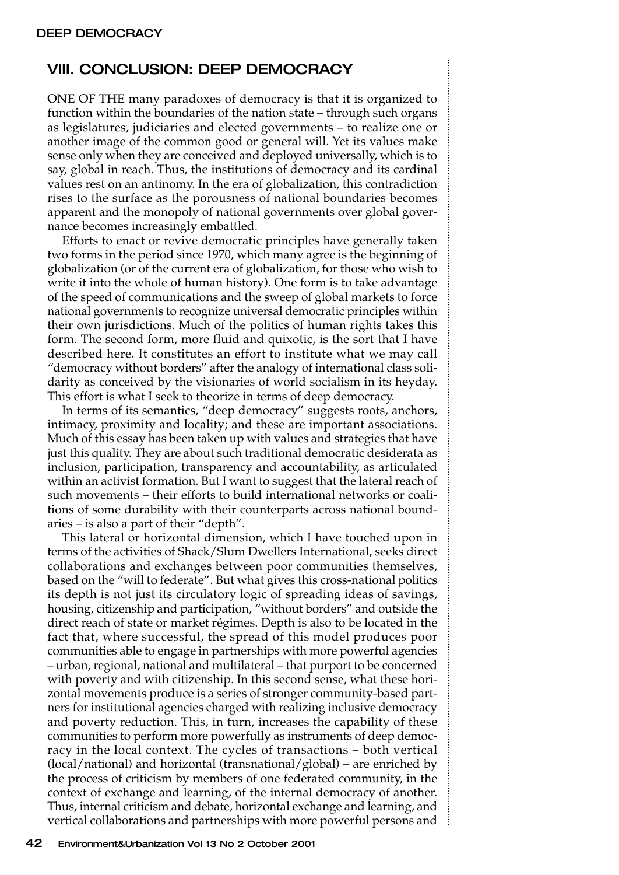#### VIII. CONCLUSION: DEEP DEMOCRACY

ONE OF THE many paradoxes of democracy is that it is organized to function within the boundaries of the nation state – through such organs as legislatures, judiciaries and elected governments – to realize one or another image of the common good or general will. Yet its values make sense only when they are conceived and deployed universally, which is to say, global in reach. Thus, the institutions of democracy and its cardinal values rest on an antinomy. In the era of globalization, this contradiction rises to the surface as the porousness of national boundaries becomes apparent and the monopoly of national governments over global governance becomes increasingly embattled.

Efforts to enact or revive democratic principles have generally taken two forms in the period since 1970, which many agree is the beginning of globalization (or of the current era of globalization, for those who wish to write it into the whole of human history). One form is to take advantage of the speed of communications and the sweep of global markets to force national governments to recognize universal democratic principles within their own jurisdictions. Much of the politics of human rights takes this form. The second form, more fluid and quixotic, is the sort that I have described here. It constitutes an effort to institute what we may call "democracy without borders" after the analogy of international class solidarity as conceived by the visionaries of world socialism in its heyday. This effort is what I seek to theorize in terms of deep democracy.

In terms of its semantics, "deep democracy" suggests roots, anchors, intimacy, proximity and locality; and these are important associations. Much of this essay has been taken up with values and strategies that have just this quality. They are about such traditional democratic desiderata as inclusion, participation, transparency and accountability, as articulated within an activist formation. But I want to suggest that the lateral reach of such movements – their efforts to build international networks or coalitions of some durability with their counterparts across national boundaries – is also a part of their "depth".

This lateral or horizontal dimension, which I have touched upon in terms of the activities of Shack/Slum Dwellers International, seeks direct collaborations and exchanges between poor communities themselves, based on the "will to federate". But what gives this cross-national politics its depth is not just its circulatory logic of spreading ideas of savings, housing, citizenship and participation, "without borders" and outside the direct reach of state or market régimes. Depth is also to be located in the fact that, where successful, the spread of this model produces poor communities able to engage in partnerships with more powerful agencies – urban, regional, national and multilateral – that purport to be concerned with poverty and with citizenship. In this second sense, what these horizontal movements produce is a series of stronger community-based partners for institutional agencies charged with realizing inclusive democracy and poverty reduction. This, in turn, increases the capability of these communities to perform more powerfully as instruments of deep democracy in the local context. The cycles of transactions – both vertical (local/national) and horizontal (transnational/global) – are enriched by the process of criticism by members of one federated community, in the context of exchange and learning, of the internal democracy of another. Thus, internal criticism and debate, horizontal exchange and learning, and vertical collaborations and partnerships with more powerful persons and